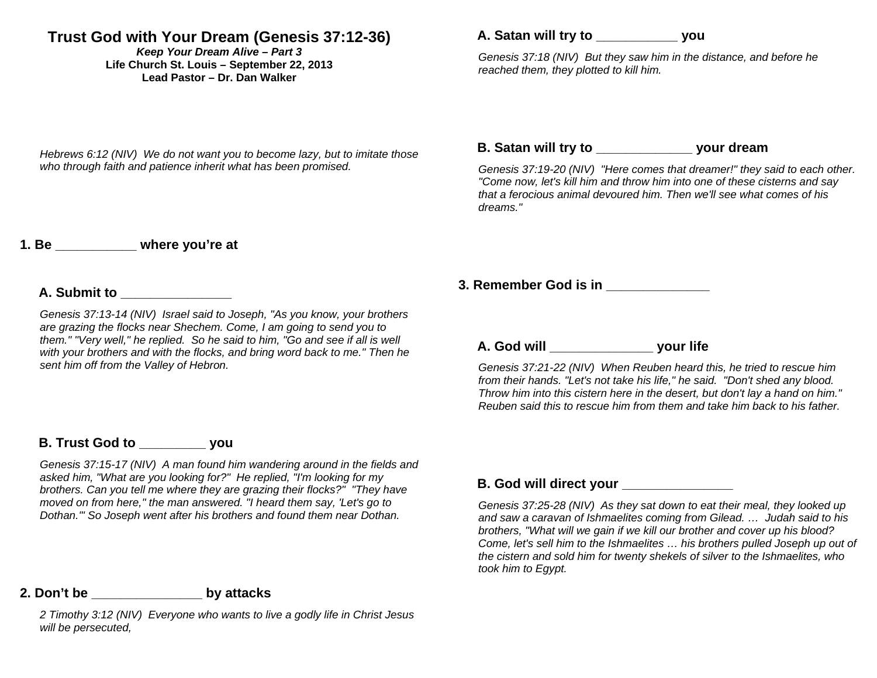# **Trust God with Your Dream (Genesis 37:12-36)**

*Keep Your Dream Alive – Part 3*  **Life Church St. Louis** *–* **September 22, 2013 Lead Pastor – Dr. Dan Walker** 

*Hebrews 6:12 (NIV) We do not want you to become lazy, but to imitate those who through faith and patience inherit what has been promised.* 

## **A. Satan will try to \_\_\_\_\_\_\_\_\_\_\_ you**

*Genesis 37:18 (NIV) But they saw him in the distance, and before he reached them, they plotted to kill him.* 

### **B. Satan will try to \_\_\_\_\_\_\_\_\_\_\_\_\_ your dream**

*Genesis 37:19-20 (NIV) "Here comes that dreamer!" they said to each other. "Come now, let's kill him and throw him into one of these cisterns and say that a ferocious animal devoured him. Then we'll see what comes of his dreams."* 

### **1. Be \_\_\_\_\_\_\_\_\_\_\_ where you're at**

#### **A. Submit to \_\_\_\_\_\_\_\_\_\_\_\_\_\_\_**

*Genesis 37:13-14 (NIV) Israel said to Joseph, "As you know, your brothers are grazing the flocks near Shechem. Come, I am going to send you to them." "Very well." he replied. So he said to him. "Go and see if all is well with your brothers and with the flocks, and bring word back to me." Then he sent him off from the Valley of Hebron.* 

### **B. Trust God to \_\_\_\_\_\_\_\_\_ you**

*Genesis 37:15-17 (NIV) A man found him wandering around in the fields and asked him, "What are you looking for?" He replied, "I'm looking for my brothers. Can you tell me where they are grazing their flocks?" "They have moved on from here," the man answered. "I heard them say, 'Let's go to Dothan.'" So Joseph went after his brothers and found them near Dothan.* 

### **3. Remember God is in \_\_\_\_\_\_\_\_\_\_\_\_\_\_**

**A. God will \_\_\_\_\_\_\_\_\_\_\_\_\_\_ your life** 

*Genesis 37:21-22 (NIV) When Reuben heard this, he tried to rescue him from their hands. "Let's not take his life," he said. "Don't shed any blood. Throw him into this cistern here in the desert, but don't lay a hand on him." Reuben said this to rescue him from them and take him back to his father.* 

#### **B. God will direct your**

*Genesis 37:25-28 (NIV) As they sat down to eat their meal, they looked up and saw a caravan of Ishmaelites coming from Gilead. … Judah said to his brothers, "What will we gain if we kill our brother and cover up his blood? Come, let's sell him to the Ishmaelites … his brothers pulled Joseph up out of the cistern and sold him for twenty shekels of silver to the Ishmaelites, who took him to Egypt.* 

### **2. Don't be \_\_\_\_\_\_\_\_\_\_\_\_\_\_\_ by attacks**

*2 Timothy 3:12 (NIV) Everyone who wants to live a godly life in Christ Jesus will be persecuted,*